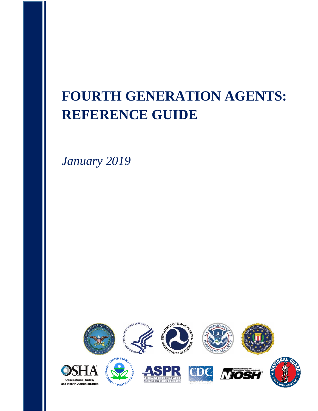# **FOURTH GENERATION AGENTS: REFERENCE GUIDE**

*January 2019*

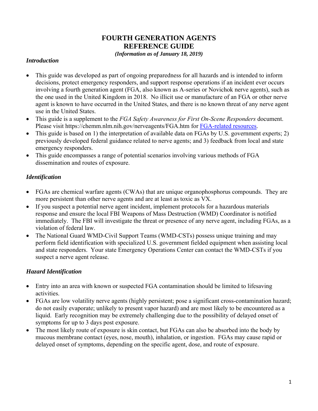## **FOURTH GENERATION AGENTS REFERENCE GUIDE**

#### *(Information as of January 18, 2019)*

#### *Introduction*

- This guide was developed as part of ongoing preparedness for all hazards and is intended to inform decisions, protect emergency responders, and support response operations if an incident ever occurs involving a fourth generation agent (FGA, also known as A-series or Novichok nerve agents), such as the one used in the United Kingdom in 2018. No illicit use or manufacture of an FGA or other nerve agent is known to have occurred in the United States, and there is no known threat of any nerve agent use in the United States.
- This guide is a supplement to the *FGA Safety Awareness for First On-Scene Responders* document. Please visit https://chemm.nlm.nih.gov/nerveagents/FGA.htm for [FGA-related resources.](https://chemm.nlm.nih.gov/nerveagents/FGA.htm)
- This guide is based on 1) the interpretation of available data on FGAs by U.S. government experts; 2) previously developed federal guidance related to nerve agents; and 3) feedback from local and state emergency responders.
- This guide encompasses a range of potential scenarios involving various methods of FGA dissemination and routes of exposure.

#### *Identification*

- FGAs are chemical warfare agents (CWAs) that are unique organophosphorus compounds. They are more persistent than other nerve agents and are at least as toxic as VX.
- If you suspect a potential nerve agent incident, implement protocols for a hazardous materials response and ensure the local FBI Weapons of Mass Destruction (WMD) Coordinator is notified immediately. The FBI will investigate the threat or presence of any nerve agent, including FGAs, as a violation of federal law.
- The National Guard WMD-Civil Support Teams (WMD-CSTs) possess unique training and may perform field identification with specialized U.S. government fielded equipment when assisting local and state responders. Your state Emergency Operations Center can contact the WMD-CSTs if you suspect a nerve agent release.

## *Hazard Identification*

- Entry into an area with known or suspected FGA contamination should be limited to lifesaving activities.
- FGAs are low volatility nerve agents (highly persistent; pose a significant cross-contamination hazard; do not easily evaporate; unlikely to present vapor hazard) and are most likely to be encountered as a liquid. Early recognition may be extremely challenging due to the possibility of delayed onset of symptoms for up to 3 days post exposure.
- The most likely route of exposure is skin contact, but FGAs can also be absorbed into the body by mucous membrane contact (eyes, nose, mouth), inhalation, or ingestion. FGAs may cause rapid or delayed onset of symptoms, depending on the specific agent, dose, and route of exposure.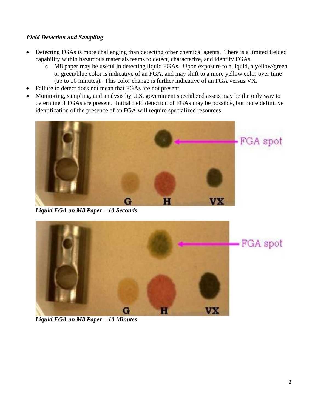## *Field Detection and Sampling*

- Detecting FGAs is more challenging than detecting other chemical agents. There is a limited fielded capability within hazardous materials teams to detect, characterize, and identify FGAs.
	- o M8 paper may be useful in detecting liquid FGAs. Upon exposure to a liquid, a yellow/green or green/blue color is indicative of an FGA, and may shift to a more yellow color over time (up to 10 minutes). This color change is further indicative of an FGA versus VX.
- Failure to detect does not mean that FGAs are not present.
- Monitoring, sampling, and analysis by U.S. government specialized assets may be the only way to determine if FGAs are present. Initial field detection of FGAs may be possible, but more definitive identification of the presence of an FGA will require specialized resources.



*Liquid FGA on M8 Paper – 10 Seconds*



*Liquid FGA on M8 Paper – 10 Minutes*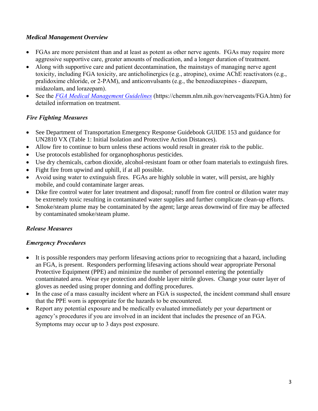#### *Medical Management Overview*

- FGAs are more persistent than and at least as potent as other nerve agents. FGAs may require more aggressive supportive care, greater amounts of medication, and a longer duration of treatment.
- Along with supportive care and patient decontamination, the mainstays of managing nerve agent toxicity, including FGA toxicity, are anticholinergics (e.g., atropine), oxime AChE reactivators (e.g., pralidoxime chloride, or 2-PAM), and anticonvulsants (e.g., the benzodiazepines - diazepam, midazolam, and lorazepam).
- See the *FGA [Medical Management Guidelines](https://chemm.nlm.nih.gov/nerveagents/FGA.htm)* (https://chemm.nlm.nih.gov/nerveagents/FGA.htm) for detailed information on treatment.

## *Fire Fighting Measures*

- See Department of Transportation Emergency Response Guidebook GUIDE 153 and guidance for UN2810 VX (Table 1: Initial Isolation and Protective Action Distances).
- Allow fire to continue to burn unless these actions would result in greater risk to the public.
- Use protocols established for organophosphorus pesticides.
- Use dry chemicals, carbon dioxide, alcohol-resistant foam or other foam materials to extinguish fires.
- Fight fire from upwind and uphill, if at all possible.
- Avoid using water to extinguish fires. FGAs are highly soluble in water, will persist, are highly mobile, and could contaminate larger areas.
- Dike fire control water for later treatment and disposal; runoff from fire control or dilution water may be extremely toxic resulting in contaminated water supplies and further complicate clean-up efforts.
- Smoke/steam plume may be contaminated by the agent; large areas downwind of fire may be affected by contaminated smoke/steam plume.

## *Release Measures*

## *Emergency Procedures*

- It is possible responders may perform lifesaving actions prior to recognizing that a hazard, including an FGA, is present. Responders performing lifesaving actions should wear appropriate Personal Protective Equipment (PPE) and minimize the number of personnel entering the potentially contaminated area. Wear eye protection and double layer nitrile gloves. Change your outer layer of gloves as needed using proper donning and doffing procedures.
- In the case of a mass casualty incident where an FGA is suspected, the incident command shall ensure that the PPE worn is appropriate for the hazards to be encountered.
- Report any potential exposure and be medically evaluated immediately per your department or agency's procedures if you are involved in an incident that includes the presence of an FGA. Symptoms may occur up to 3 days post exposure.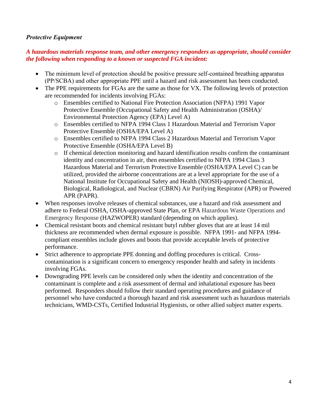#### *Protective Equipment*

#### *A hazardous materials response team, and other emergency responders as appropriate, should consider the following when responding to a known or suspected FGA incident:*

- The minimum level of protection should be positive pressure self-contained breathing apparatus (PP/SCBA) and other appropriate PPE until a hazard and risk assessment has been conducted.
- The PPE requirements for FGAs are the same as those for VX. The following levels of protection are recommended for incidents involving FGAs:
	- o Ensembles certified to National Fire Protection Association (NFPA) 1991 Vapor Protective Ensemble (Occupational Safety and Health Administration (OSHA)/ Environmental Protection Agency (EPA) Level A)
	- o Ensembles certified to NFPA 1994 Class 1 Hazardous Material and Terrorism Vapor Protective Ensemble (OSHA/EPA Level A)
	- o Ensembles certified to NFPA 1994 Class 2 Hazardous Material and Terrorism Vapor Protective Ensemble (OSHA/EPA Level B)
	- $\circ$  If chemical detection monitoring and hazard identification results confirm the contaminant identity and concentration in air, then ensembles certified to NFPA 1994 Class 3 Hazardous Material and Terrorism Protective Ensemble (OSHA/EPA Level C) can be utilized, provided the airborne concentrations are at a level appropriate for the use of a National Institute for Occupational Safety and Health (NIOSH)-approved Chemical, Biological, Radiological, and Nuclear (CBRN) Air Purifying Respirator (APR) or Powered APR (PAPR).
- When responses involve releases of chemical substances, use a hazard and risk assessment and adhere to Federal OSHA, OSHA-approved State Plan, or EPA Hazardous Waste Operations and Emergency Response (HAZWOPER) standard (depending on which applies).
- Chemical resistant boots and chemical resistant butyl rubber gloves that are at least 14 mil thickness are recommended when dermal exposure is possible. NFPA 1991- and NFPA 1994 compliant ensembles include gloves and boots that provide acceptable levels of protective performance.
- Strict adherence to appropriate PPE donning and doffing procedures is critical. Crosscontamination is a significant concern to emergency responder health and safety in incidents involving FGAs.
- Downgrading PPE levels can be considered only when the identity and concentration of the contaminant is complete and a risk assessment of dermal and inhalational exposure has been performed. Responders should follow their standard operating procedures and guidance of personnel who have conducted a thorough hazard and risk assessment such as hazardous materials technicians, WMD-CSTs, Certified Industrial Hygienists, or other allied subject matter experts.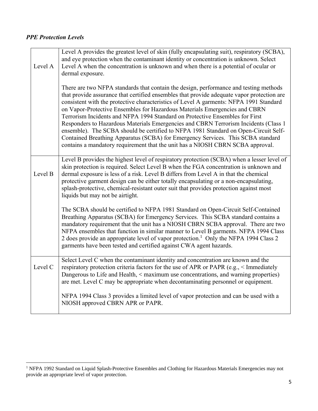## *PPE Protection Levels*

| Level A | Level A provides the greatest level of skin (fully encapsulating suit), respiratory (SCBA),<br>and eye protection when the contaminant identity or concentration is unknown. Select<br>Level A when the concentration is unknown and when there is a potential of ocular or<br>dermal exposure.                                                                                                                                                                                                                                                                                                                                                                                                                                                                                                |
|---------|------------------------------------------------------------------------------------------------------------------------------------------------------------------------------------------------------------------------------------------------------------------------------------------------------------------------------------------------------------------------------------------------------------------------------------------------------------------------------------------------------------------------------------------------------------------------------------------------------------------------------------------------------------------------------------------------------------------------------------------------------------------------------------------------|
|         | There are two NFPA standards that contain the design, performance and testing methods<br>that provide assurance that certified ensembles that provide adequate vapor protection are<br>consistent with the protective characteristics of Level A garments: NFPA 1991 Standard<br>on Vapor-Protective Ensembles for Hazardous Materials Emergencies and CBRN<br>Terrorism Incidents and NFPA 1994 Standard on Protective Ensembles for First<br>Responders to Hazardous Materials Emergencies and CBRN Terrorism Incidents (Class 1<br>ensemble). The SCBA should be certified to NFPA 1981 Standard on Open-Circuit Self-<br>Contained Breathing Apparatus (SCBA) for Emergency Services. This SCBA standard<br>contains a mandatory requirement that the unit has a NIOSH CBRN SCBA approval. |
| Level B | Level B provides the highest level of respiratory protection (SCBA) when a lesser level of<br>skin protection is required. Select Level B when the FGA concentration is unknown and<br>dermal exposure is less of a risk. Level B differs from Level A in that the chemical<br>protective garment design can be either totally encapsulating or a non-encapsulating,<br>splash-protective, chemical-resistant outer suit that provides protection against most<br>liquids but may not be airtight.                                                                                                                                                                                                                                                                                             |
|         | The SCBA should be certified to NFPA 1981 Standard on Open-Circuit Self-Contained<br>Breathing Apparatus (SCBA) for Emergency Services. This SCBA standard contains a<br>mandatory requirement that the unit has a NIOSH CBRN SCBA approval. There are two<br>NFPA ensembles that function in similar manner to Level B garments. NFPA 1994 Class<br>2 does provide an appropriate level of vapor protection. <sup>1</sup> Only the NFPA 1994 Class 2<br>garments have been tested and certified against CWA agent hazards.                                                                                                                                                                                                                                                                    |
| Level C | Select Level C when the contaminant identity and concentration are known and the<br>respiratory protection criteria factors for the use of APR or PAPR (e.g., < Immediately<br>Dangerous to Life and Health, < maximum use concentrations, and warning properties)<br>are met. Level C may be appropriate when decontaminating personnel or equipment.                                                                                                                                                                                                                                                                                                                                                                                                                                         |
|         | NFPA 1994 Class 3 provides a limited level of vapor protection and can be used with a<br>NIOSH approved CBRN APR or PAPR.                                                                                                                                                                                                                                                                                                                                                                                                                                                                                                                                                                                                                                                                      |

<sup>&</sup>lt;sup>1</sup> NFPA 1992 Standard on Liquid Splash-Protective Ensembles and Clothing for Hazardous Materials Emergencies may not provide an appropriate level of vapor protection.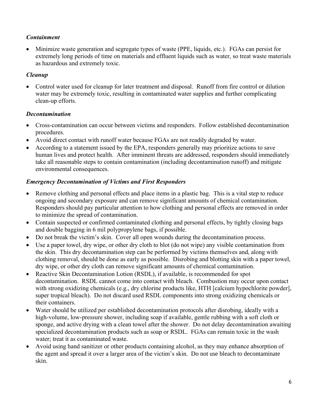## *Containment*

 Minimize waste generation and segregate types of waste (PPE, liquids, etc.). FGAs can persist for extremely long periods of time on materials and effluent liquids such as water, so treat waste materials as hazardous and extremely toxic.

## *Cleanup*

 Control water used for cleanup for later treatment and disposal. Runoff from fire control or dilution water may be extremely toxic, resulting in contaminated water supplies and further complicating clean-up efforts.

#### *Decontamination*

- Cross-contamination can occur between victims and responders. Follow established decontamination procedures.
- Avoid direct contact with runoff water because FGAs are not readily degraded by water.
- According to a statement issued by the EPA, responders generally may prioritize actions to save human lives and protect health. After imminent threats are addressed, responders should immediately take all reasonable steps to contain contamination (including decontamination runoff) and mitigate environmental consequences.

## *Emergency Decontamination of Victims and First Responders*

- Remove clothing and personal effects and place items in a plastic bag. This is a vital step to reduce ongoing and secondary exposure and can remove significant amounts of chemical contamination. Responders should pay particular attention to how clothing and personal effects are removed in order to minimize the spread of contamination.
- Contain suspected or confirmed contaminated clothing and personal effects, by tightly closing bags and double bagging in 6 mil polypropylene bags, if possible.
- Do not break the victim's skin. Cover all open wounds during the decontamination process.
- Use a paper towel, dry wipe, or other dry cloth to blot (do not wipe) any visible contamination from the skin. This dry decontamination step can be performed by victims themselves and, along with clothing removal, should be done as early as possible. Disrobing and blotting skin with a paper towel, dry wipe, or other dry cloth can remove significant amounts of chemical contamination.
- Reactive Skin Decontamination Lotion (RSDL), if available, is recommended for spot decontamination. RSDL cannot come into contact with bleach. Combustion may occur upon contact with strong oxidizing chemicals (e.g., dry chlorine products like, HTH [calcium hypochlorite powder], super tropical bleach). Do not discard used RSDL components into strong oxidizing chemicals or their containers.
- Water should be utilized per established decontamination protocols after disrobing, ideally with a high-volume, low-pressure shower, including soap if available, gentle rubbing with a soft cloth or sponge, and active drying with a clean towel after the shower. Do not delay decontamination awaiting specialized decontamination products such as soap or RSDL. FGAs can remain toxic in the wash water; treat it as contaminated waste.
- Avoid using hand sanitizer or other products containing alcohol, as they may enhance absorption of the agent and spread it over a larger area of the victim's skin. Do not use bleach to decontaminate skin.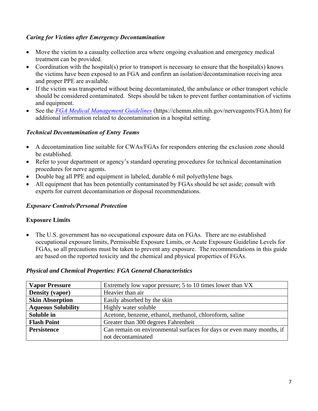#### *Caring for Victims after Emergency Decontamination*

- Move the victim to a casualty collection area where ongoing evaluation and emergency medical treatment can be provided.
- Coordination with the hospital(s) prior to transport is necessary to ensure that the hospital(s) knows the victims have been exposed to an FGA and confirm an isolation/decontamination receiving area and proper PPE are available.
- If the victim was transported without being decontaminated, the ambulance or other transport vehicle should be considered contaminated. Steps should be taken to prevent further contamination of victims and equipment.
- See the *[FGA Medical Management Guidelines](https://chemm.nlm.nih.gov/nerveagents/FGA.htm)* (https://chemm.nlm.nih.gov/nerveagents/FGA.htm) for additional information related to decontamination in a hospital setting.

#### *Technical Decontamination of Entry Teams*

- A decontamination line suitable for CWAs/FGAs for responders entering the exclusion zone should be established.
- Refer to your department or agency's standard operating procedures for technical decontamination procedures for nerve agents.
- Double bag all PPE and equipment in labeled, durable 6 mil polyethylene bags.
- All equipment that has been potentially contaminated by FGAs should be set aside; consult with experts for current decontamination or disposal recommendations.

#### *Exposure Controls/Personal Protection*

#### **Exposure Limits**

 The U.S. government has no occupational exposure data on FGAs. There are no established occupational exposure limits, Permissible Exposure Limits, or Acute Exposure Guideline Levels for FGAs, so all precautions must be taken to prevent any exposure. The recommendations in this guide are based on the reported toxicity and the chemical and physical properties of FGAs.

#### *Physical and Chemical Properties: FGA General Characteristics*

| <b>Vapor Pressure</b>     | Extremely low vapor pressure; 5 to 10 times lower than VX             |
|---------------------------|-----------------------------------------------------------------------|
| <b>Density (vapor)</b>    | Heavier than air                                                      |
| <b>Skin Absorption</b>    | Easily absorbed by the skin                                           |
| <b>Aqueous Solubility</b> | Highly water soluble                                                  |
| Soluble in                | Acetone, benzene, ethanol, methanol, chloroform, saline               |
| <b>Flash Point</b>        | Greater than 300 degrees Fahrenheit                                   |
| <b>Persistence</b>        | Can remain on environmental surfaces for days or even many months, if |
|                           | not decontaminated                                                    |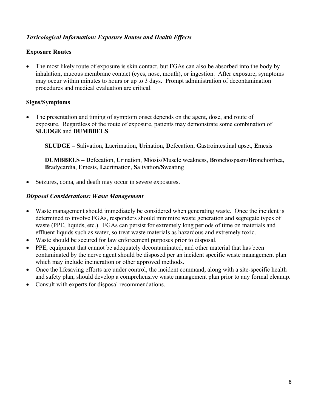#### *Toxicological Information: Exposure Routes and Health Effects*

#### **Exposure Routes**

• The most likely route of exposure is skin contact, but FGAs can also be absorbed into the body by inhalation, mucous membrane contact (eyes, nose, mouth), or ingestion. After exposure, symptoms may occur within minutes to hours or up to 3 days. Prompt administration of decontamination procedures and medical evaluation are critical.

#### **Signs/Symptoms**

 The presentation and timing of symptom onset depends on the agent, dose, and route of exposure. Regardless of the route of exposure, patients may demonstrate some combination of **SLUDGE** and **DUMBBELS**.

**SLUDGE – S**alivation, **L**acrimation, **U**rination, **D**efecation, **G**astrointestinal upset, **E**mesis

**DUMBBELS – D**efecation, **U**rination, **M**iosis**/M**uscle weakness, **B**ronchospasm**/B**ronchorrhea, **B**radycardia, **E**mesis, **L**acrimation, **S**alivation**/S**weating

Seizures, coma, and death may occur in severe exposures.

#### *Disposal Considerations: Waste Management*

- Waste management should immediately be considered when generating waste. Once the incident is determined to involve FGAs, responders should minimize waste generation and segregate types of waste (PPE, liquids, etc.). FGAs can persist for extremely long periods of time on materials and effluent liquids such as water, so treat waste materials as hazardous and extremely toxic.
- Waste should be secured for law enforcement purposes prior to disposal.
- PPE, equipment that cannot be adequately decontaminated, and other material that has been contaminated by the nerve agent should be disposed per an incident specific waste management plan which may include incineration or other approved methods.
- Once the lifesaving efforts are under control, the incident command, along with a site-specific health and safety plan, should develop a comprehensive waste management plan prior to any formal cleanup.
- Consult with experts for disposal recommendations.